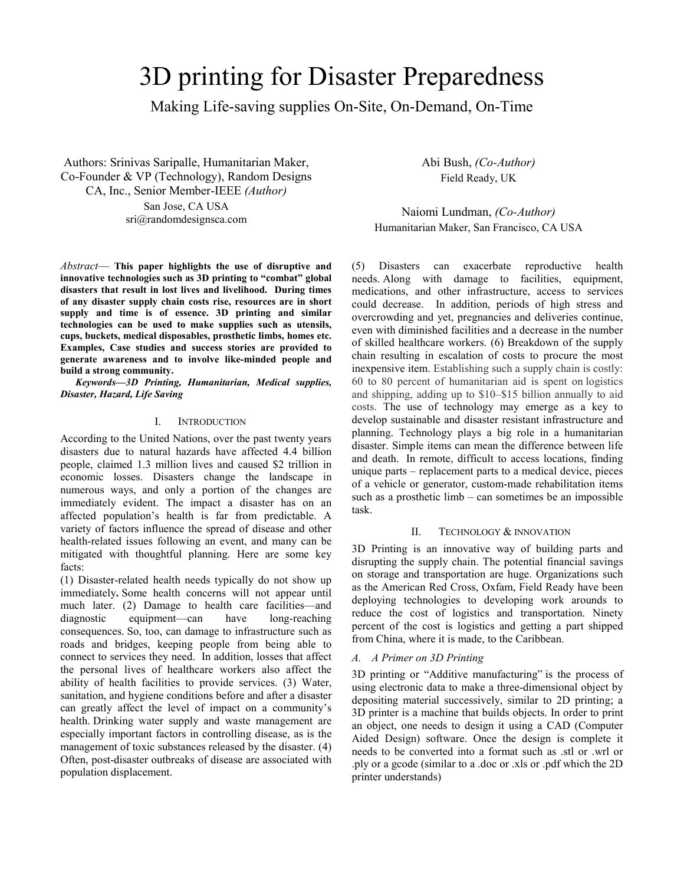# 3D printing for Disaster Preparedness

Making Life-saving supplies On-Site, On-Demand, On-Time

Authors: Srinivas Saripalle, Humanitarian Maker, Co-Founder & VP (Technology), Random Designs CA, Inc., Senior Member-IEEE *(Author)*

> San Jose, CA USA sri@randomdesignsca.com

*Abstract*— **This paper highlights the use of disruptive and innovative technologies such as 3D printing to "combat" global disasters that result in lost lives and livelihood. During times of any disaster supply chain costs rise, resources are in short supply and time is of essence. 3D printing and similar technologies can be used to make supplies such as utensils, cups, buckets, medical disposables, prosthetic limbs, homes etc. Examples, Case studies and success stories are provided to generate awareness and to involve like-minded people and build a strong community.**

*Keywords—3D Printing, Humanitarian, Medical supplies, Disaster, Hazard, Life Saving*

## I. INTRODUCTION

According to the United Nations, over the past twenty years disasters due to natural hazards have affected 4.4 billion people, claimed 1.3 million lives and caused \$2 trillion in economic losses. Disasters change the landscape in numerous ways, and only a portion of the changes are immediately evident. The impact a disaster has on an affected population's health is far from predictable. A variety of factors influence the spread of disease and other health-related issues following an event, and many can be mitigated with thoughtful planning. Here are some key facts:

(1) Disaster-related health needs typically do not show up immediately**.** Some health concerns will not appear until much later. (2) Damage to health care facilities—and diagnostic equipment—can have long-reaching consequences. So, too, can damage to infrastructure such as roads and bridges, keeping people from being able to connect to services they need. In addition, losses that affect the personal lives of healthcare workers also affect the ability of health facilities to provide services. (3) Water, sanitation, and hygiene conditions before and after a disaster can greatly affect the level of impact on a community's health. Drinking water supply and waste management are especially important factors in controlling disease, as is the management of toxic substances released by the disaster. (4) Often, post-disaster outbreaks of disease are associated with population displacement.

Abi Bush, *(Co-Author)* Field Ready, UK

Naiomi Lundman, *(Co-Author)* Humanitarian Maker, San Francisco, CA USA

(5) Disasters can exacerbate reproductive health needs. Along with damage to facilities, equipment, medications, and other infrastructure, access to services could decrease. In addition, periods of high stress and overcrowding and yet, pregnancies and deliveries continue, even with diminished facilities and a decrease in the number of skilled healthcare workers. (6) Breakdown of the supply chain resulting in escalation of costs to procure the most inexpensive item. Establishing such a supply chain is costly: 60 to 80 percent of humanitarian aid is spent on logistics and shipping, adding up to \$10–\$15 billion annually to aid costs. The use of technology may emerge as a key to develop sustainable and disaster resistant infrastructure and planning. Technology plays a big role in a humanitarian disaster. Simple items can mean the difference between life and death. In remote, difficult to access locations, finding unique parts – replacement parts to a medical device, pieces of a vehicle or generator, custom-made rehabilitation items such as a prosthetic limb – can sometimes be an impossible task.

# II. TECHNOLOGY & INNOVATION

3D Printing is an innovative way of building parts and disrupting the supply chain. The potential financial savings on storage and transportation are huge. Organizations such as the American Red Cross, Oxfam, Field Ready have been deploying technologies to developing work arounds to reduce the cost of logistics and transportation. Ninety percent of the cost is logistics and getting a part shipped from China, where it is made, to the Caribbean.

# *A. A Primer on 3D Printing*

3D printing or "Additive manufacturing" is the process of using electronic data to make a three-dimensional object by depositing material successively, similar to 2D printing; a 3D printer is a machine that builds objects. In order to print an object, one needs to design it using a CAD (Computer Aided Design) software. Once the design is complete it needs to be converted into a format such as .stl or .wrl or .ply or a gcode (similar to a .doc or .xls or .pdf which the 2D printer understands)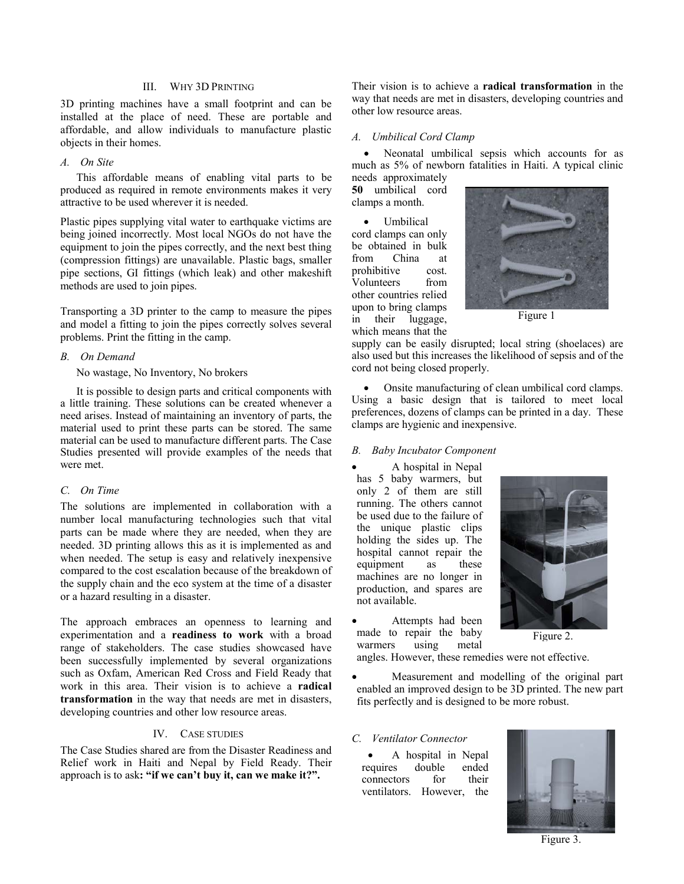# III. WHY 3D PRINTING

3D printing machines have a small footprint and can be installed at the place of need. These are portable and affordable, and allow individuals to manufacture plastic objects in their homes.

## *A. On Site*

This affordable means of enabling vital parts to be produced as required in remote environments makes it very attractive to be used wherever it is needed.

Plastic pipes supplying vital water to earthquake victims are being joined incorrectly. Most local NGOs do not have the equipment to join the pipes correctly, and the next best thing (compression fittings) are unavailable. Plastic bags, smaller pipe sections, GI fittings (which leak) and other makeshift methods are used to join pipes.

Transporting a 3D printer to the camp to measure the pipes and model a fitting to join the pipes correctly solves several problems. Print the fitting in the camp.

#### *B. On Demand*

No wastage, No Inventory, No brokers

It is possible to design parts and critical components with a little training. These solutions can be created whenever a need arises. Instead of maintaining an inventory of parts, the material used to print these parts can be stored. The same material can be used to manufacture different parts. The Case Studies presented will provide examples of the needs that were met.

## *C. On Time*

The solutions are implemented in collaboration with a number local manufacturing technologies such that vital parts can be made where they are needed, when they are needed. 3D printing allows this as it is implemented as and when needed. The setup is easy and relatively inexpensive compared to the cost escalation because of the breakdown of the supply chain and the eco system at the time of a disaster or a hazard resulting in a disaster.

The approach embraces an openness to learning and experimentation and a **readiness to work** with a broad range of stakeholders. The case studies showcased have been successfully implemented by several organizations such as Oxfam, American Red Cross and Field Ready that work in this area. Their vision is to achieve a **radical transformation** in the way that needs are met in disasters, developing countries and other low resource areas.

#### IV. CASE STUDIES

The Case Studies shared are from the Disaster Readiness and Relief work in Haiti and Nepal by Field Ready. Their approach is to ask**: "if we can't buy it, can we make it?".**

Their vision is to achieve a **radical transformation** in the way that needs are met in disasters, developing countries and other low resource areas.

## *A. Umbilical Cord Clamp*

Neonatal umbilical sepsis which accounts for as much as 5% of newborn fatalities in Haiti. A typical clinic needs approximately

**50** umbilical cord clamps a month.

• Umbilical cord clamps can only be obtained in bulk from China at prohibitive cost. Volunteers from other countries relied upon to bring clamps in their luggage, which means that the



Figure 1

supply can be easily disrupted; local string (shoelaces) are also used but this increases the likelihood of sepsis and of the cord not being closed properly.

• Onsite manufacturing of clean umbilical cord clamps. Using a basic design that is tailored to meet local preferences, dozens of clamps can be printed in a day. These clamps are hygienic and inexpensive.

#### *B. Baby Incubator Component*

• A hospital in Nepal has 5 baby warmers, but only 2 of them are still running. The others cannot be used due to the failure of the unique plastic clips holding the sides up. The hospital cannot repair the equipment as these machines are no longer in production, and spares are not available.

Attempts had been made to repair the baby warmers using metal



Figure 2.

angles. However, these remedies were not effective.

• Measurement and modelling of the original part enabled an improved design to be 3D printed. The new part fits perfectly and is designed to be more robust.

## *C. Ventilator Connector*

A hospital in Nepal<br>es double ended requires double ended<br>connectors for their connectors ventilators. However, the



Figure 3.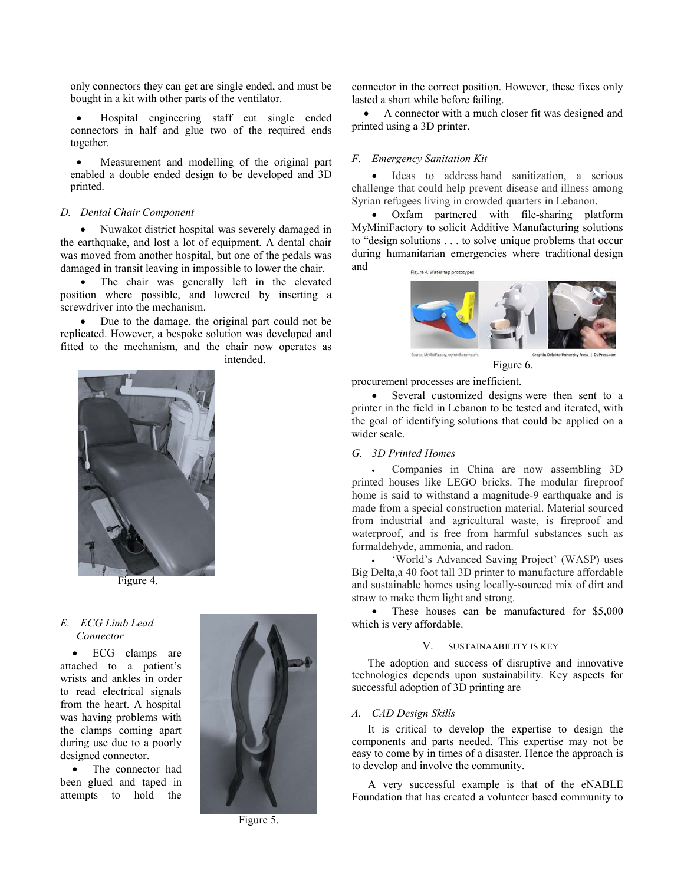only connectors they can get are single ended, and must be bought in a kit with other parts of the ventilator.

• Hospital engineering staff cut single ended connectors in half and glue two of the required ends together.

Measurement and modelling of the original part enabled a double ended design to be developed and 3D printed.

#### *D. Dental Chair Component*

• Nuwakot district hospital was severely damaged in the earthquake, and lost a lot of equipment. A dental chair was moved from another hospital, but one of the pedals was damaged in transit leaving in impossible to lower the chair.

The chair was generally left in the elevated position where possible, and lowered by inserting a screwdriver into the mechanism.

• Due to the damage, the original part could not be replicated. However, a bespoke solution was developed and fitted to the mechanism, and the chair now operates as intended.



Figure 4.

## *E. ECG Limb Lead Connector*

• ECG clamps are attached to a patient's wrists and ankles in order to read electrical signals from the heart. A hospital was having problems with the clamps coming apart during use due to a poorly designed connector.

• The connector had been glued and taped in attempts to hold the



Figure 5.

connector in the correct position. However, these fixes only lasted a short while before failing.

• A connector with a much closer fit was designed and printed using a 3D printer.

#### *F. Emergency Sanitation Kit*

Ideas to address hand sanitization, a serious challenge that could help prevent disease and illness among Syrian refugees living in crowded quarters in Lebanon.

• Oxfam partnered with file-sharing platform MyMiniFactory to solicit Additive Manufacturing solutions to "design solutions . . . to solve unique problems that occur during humanitarian emergencies where traditional design and



Figure 6.

procurement processes are inefficient.

• Several customized designs were then sent to a printer in the field in Lebanon to be tested and iterated, with the goal of identifying solutions that could be applied on a wider scale.

#### *G. 3D Printed Homes*

• Companies in China are now assembling 3D printed houses like LEGO bricks. The modular fireproof home is said to withstand a magnitude-9 earthquake and is made from a special construction material. Material sourced from industrial and agricultural waste, is fireproof and waterproof, and is free from harmful substances such as formaldehyde, ammonia, and radon.

• 'World's Advanced Saving Project' (WASP) uses Big Delta,a 40 foot tall 3D printer to manufacture affordable and sustainable homes using locally-sourced mix of dirt and straw to make them light and strong.

These houses can be manufactured for \$5,000 which is very affordable.

#### V. SUSTAINAABILITY IS KEY

The adoption and success of disruptive and innovative technologies depends upon sustainability. Key aspects for successful adoption of 3D printing are

## *A. CAD Design Skills*

It is critical to develop the expertise to design the components and parts needed. This expertise may not be easy to come by in times of a disaster. Hence the approach is to develop and involve the community.

A very successful example is that of the eNABLE Foundation that has created a volunteer based community to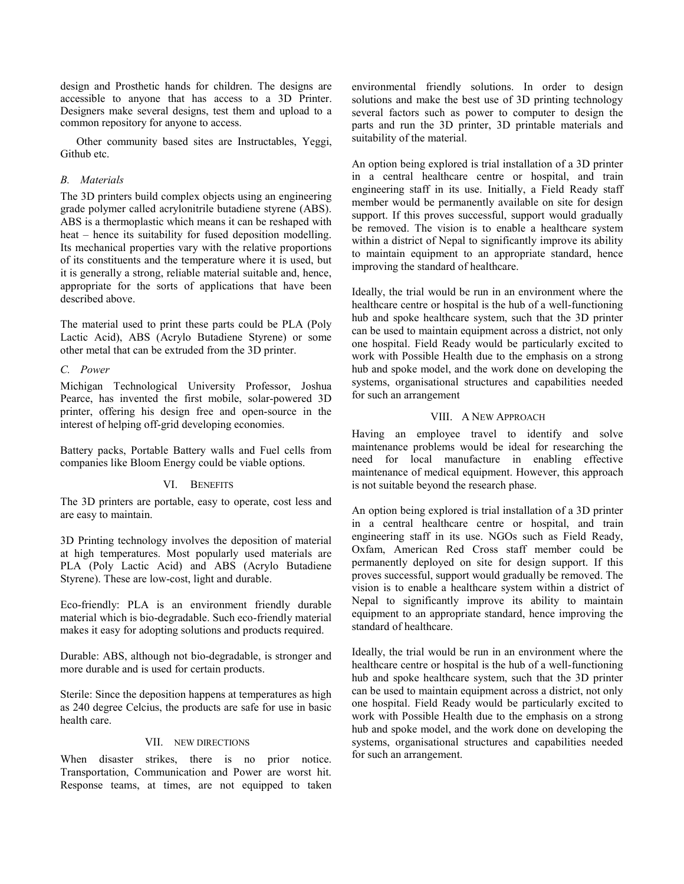design and Prosthetic hands for children. The designs are accessible to anyone that has access to a 3D Printer. Designers make several designs, test them and upload to a common repository for anyone to access.

Other community based sites are Instructables, Yeggi, Github etc.

## *B. Materials*

The 3D printers build complex objects using an engineering grade polymer called acrylonitrile butadiene styrene (ABS). ABS is a thermoplastic which means it can be reshaped with heat – hence its suitability for fused deposition modelling. Its mechanical properties vary with the relative proportions of its constituents and the temperature where it is used, but it is generally a strong, reliable material suitable and, hence, appropriate for the sorts of applications that have been described above.

The material used to print these parts could be PLA (Poly Lactic Acid), ABS (Acrylo Butadiene Styrene) or some other metal that can be extruded from the 3D printer.

## *C. Power*

Michigan Technological University Professor, Joshua Pearce, has invented the first mobile, solar-powered 3D printer, offering his design free and open-source in the interest of helping off-grid developing economies.

Battery packs, Portable Battery walls and Fuel cells from companies like Bloom Energy could be viable options.

#### VI. BENEFITS

The 3D printers are portable, easy to operate, cost less and are easy to maintain.

3D Printing technology involves the deposition of material at high temperatures. Most popularly used materials are PLA (Poly Lactic Acid) and ABS (Acrylo Butadiene Styrene). These are low-cost, light and durable.

Eco-friendly: PLA is an environment friendly durable material which is bio-degradable. Such eco-friendly material makes it easy for adopting solutions and products required.

Durable: ABS, although not bio-degradable, is stronger and more durable and is used for certain products.

Sterile: Since the deposition happens at temperatures as high as 240 degree Celcius, the products are safe for use in basic health care.

#### VII. NEW DIRECTIONS

When disaster strikes, there is no prior notice. Transportation, Communication and Power are worst hit. Response teams, at times, are not equipped to taken environmental friendly solutions. In order to design solutions and make the best use of 3D printing technology several factors such as power to computer to design the parts and run the 3D printer, 3D printable materials and suitability of the material.

An option being explored is trial installation of a 3D printer in a central healthcare centre or hospital, and train engineering staff in its use. Initially, a Field Ready staff member would be permanently available on site for design support. If this proves successful, support would gradually be removed. The vision is to enable a healthcare system within a district of Nepal to significantly improve its ability to maintain equipment to an appropriate standard, hence improving the standard of healthcare.

Ideally, the trial would be run in an environment where the healthcare centre or hospital is the hub of a well-functioning hub and spoke healthcare system, such that the 3D printer can be used to maintain equipment across a district, not only one hospital. Field Ready would be particularly excited to work with Possible Health due to the emphasis on a strong hub and spoke model, and the work done on developing the systems, organisational structures and capabilities needed for such an arrangement

## VIII. A NEW APPROACH

Having an employee travel to identify and solve maintenance problems would be ideal for researching the need for local manufacture in enabling effective maintenance of medical equipment. However, this approach is not suitable beyond the research phase.

An option being explored is trial installation of a 3D printer in a central healthcare centre or hospital, and train engineering staff in its use. NGOs such as Field Ready, Oxfam, American Red Cross staff member could be permanently deployed on site for design support. If this proves successful, support would gradually be removed. The vision is to enable a healthcare system within a district of Nepal to significantly improve its ability to maintain equipment to an appropriate standard, hence improving the standard of healthcare.

Ideally, the trial would be run in an environment where the healthcare centre or hospital is the hub of a well-functioning hub and spoke healthcare system, such that the 3D printer can be used to maintain equipment across a district, not only one hospital. Field Ready would be particularly excited to work with Possible Health due to the emphasis on a strong hub and spoke model, and the work done on developing the systems, organisational structures and capabilities needed for such an arrangement.